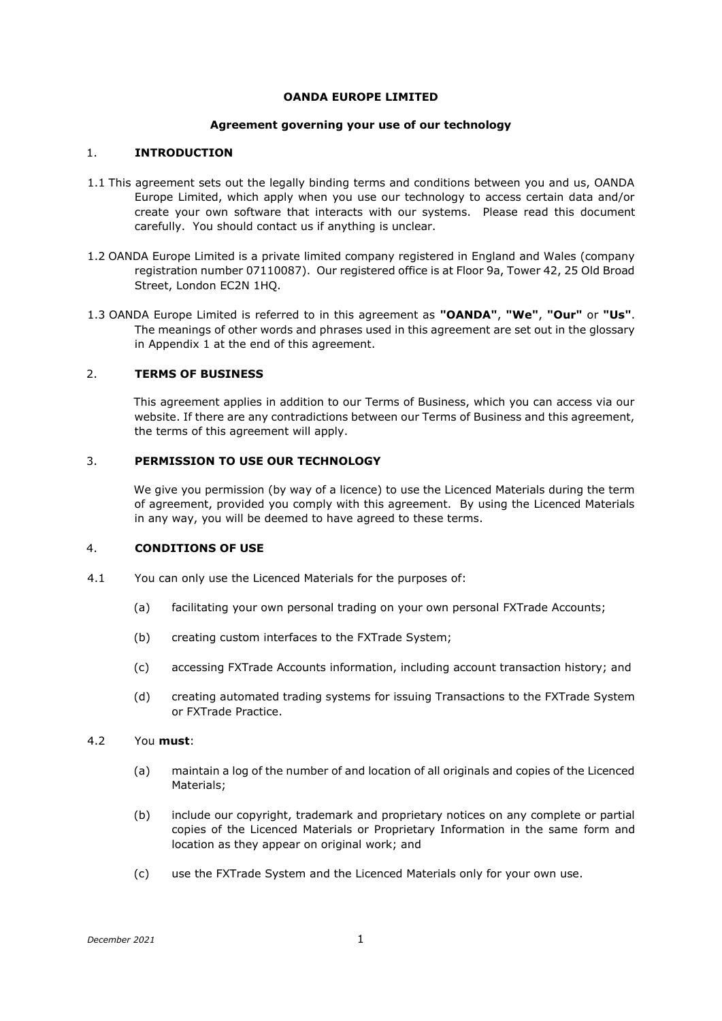#### **OANDA EUROPE LIMITED**

### **Agreement governing your use of our technology**

# 1. **INTRODUCTION**

- 1.1 This agreement sets out the legally binding terms and conditions between you and us, OANDA Europe Limited, which apply when you use our technology to access certain data and/or create your own software that interacts with our systems. Please read this document carefully. You should contact us if anything is unclear.
- 1.2 OANDA Europe Limited is a private limited company registered in England and Wales (company registration number 07110087). Our registered office is at Floor 9a, Tower 42, 25 Old Broad Street, London EC2N 1HQ.
- 1.3 OANDA Europe Limited is referred to in this agreement as **"OANDA"**, **"We"**, **"Our"** or **"Us"**. The meanings of other words and phrases used in this agreement are set out in the glossary in Appendix 1 at the end of this agreement.

## 2. **TERMS OF BUSINESS**

This agreement applies in addition to our Terms of Business, which you can access via our website. If there are any contradictions between our Terms of Business and this agreement, the terms of this agreement will apply.

## 3. **PERMISSION TO USE OUR TECHNOLOGY**

We give you permission (by way of a licence) to use the Licenced Materials during the term of agreement, provided you comply with this agreement. By using the Licenced Materials in any way, you will be deemed to have agreed to these terms.

## 4. **CONDITIONS OF USE**

- 4.1 You can only use the Licenced Materials for the purposes of:
	- (a) facilitating your own personal trading on your own personal FXTrade Accounts;
	- (b) creating custom interfaces to the FXTrade System;
	- (c) accessing FXTrade Accounts information, including account transaction history; and
	- (d) creating automated trading systems for issuing Transactions to the FXTrade System or FXTrade Practice.

## 4.2 You **must**:

- (a) maintain a log of the number of and location of all originals and copies of the Licenced Materials;
- (b) include our copyright, trademark and proprietary notices on any complete or partial copies of the Licenced Materials or Proprietary Information in the same form and location as they appear on original work; and
- (c) use the FXTrade System and the Licenced Materials only for your own use.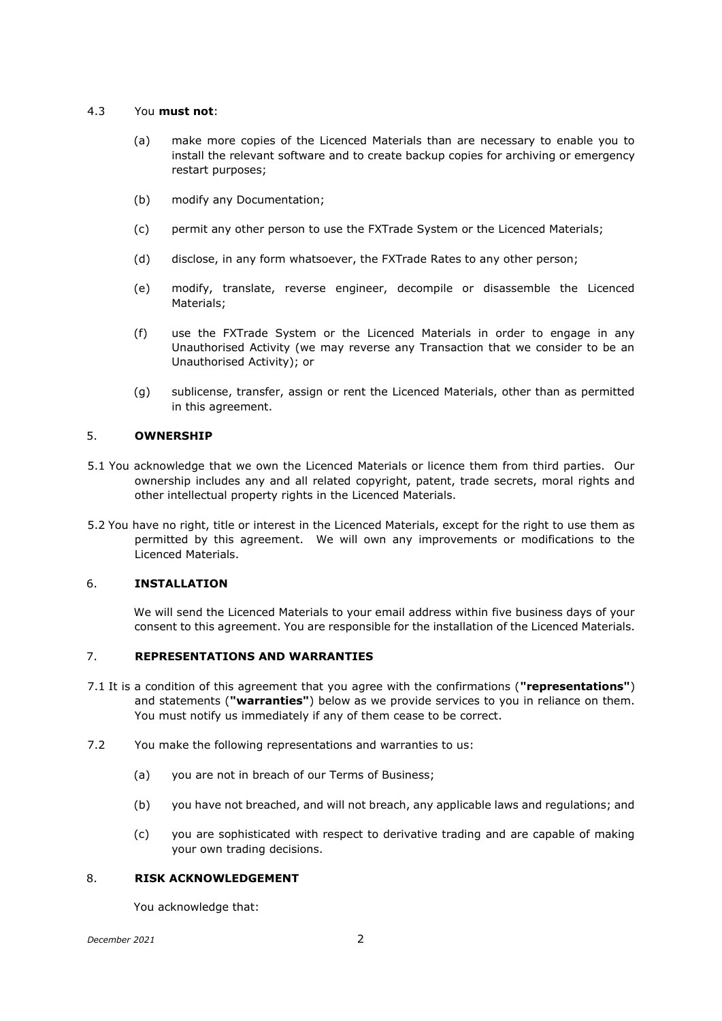### 4.3 You **must not**:

- (a) make more copies of the Licenced Materials than are necessary to enable you to install the relevant software and to create backup copies for archiving or emergency restart purposes;
- (b) modify any Documentation;
- (c) permit any other person to use the FXTrade System or the Licenced Materials;
- (d) disclose, in any form whatsoever, the FXTrade Rates to any other person;
- (e) modify, translate, reverse engineer, decompile or disassemble the Licenced Materials;
- (f) use the FXTrade System or the Licenced Materials in order to engage in any Unauthorised Activity (we may reverse any Transaction that we consider to be an Unauthorised Activity); or
- (g) sublicense, transfer, assign or rent the Licenced Materials, other than as permitted in this agreement.

## 5. **OWNERSHIP**

- 5.1 You acknowledge that we own the Licenced Materials or licence them from third parties. Our ownership includes any and all related copyright, patent, trade secrets, moral rights and other intellectual property rights in the Licenced Materials.
- 5.2 You have no right, title or interest in the Licenced Materials, except for the right to use them as permitted by this agreement. We will own any improvements or modifications to the Licenced Materials.

# 6. **INSTALLATION**

We will send the Licenced Materials to your email address within five business days of your consent to this agreement. You are responsible for the installation of the Licenced Materials.

## 7. **REPRESENTATIONS AND WARRANTIES**

- 7.1 It is a condition of this agreement that you agree with the confirmations (**"representations"**) and statements (**"warranties"**) below as we provide services to you in reliance on them. You must notify us immediately if any of them cease to be correct.
- 7.2 You make the following representations and warranties to us:
	- (a) you are not in breach of our Terms of Business;
	- (b) you have not breached, and will not breach, any applicable laws and regulations; and
	- (c) you are sophisticated with respect to derivative trading and are capable of making your own trading decisions.

## 8. **RISK ACKNOWLEDGEMENT**

You acknowledge that: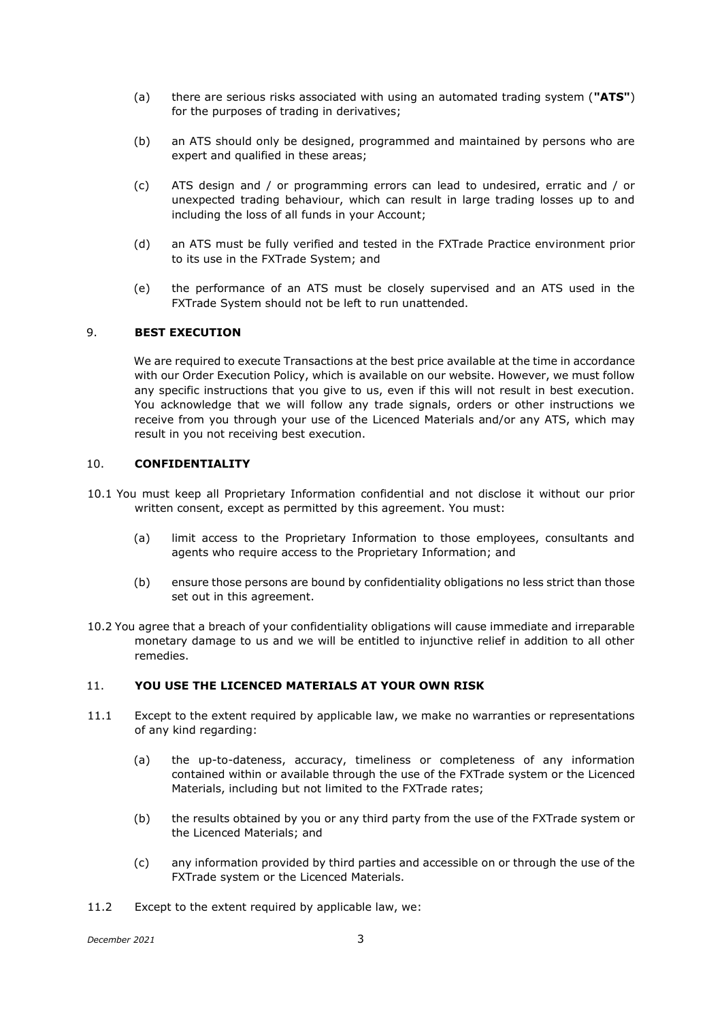- (a) there are serious risks associated with using an automated trading system (**"ATS"**) for the purposes of trading in derivatives;
- (b) an ATS should only be designed, programmed and maintained by persons who are expert and qualified in these areas;
- (c) ATS design and / or programming errors can lead to undesired, erratic and / or unexpected trading behaviour, which can result in large trading losses up to and including the loss of all funds in your Account;
- (d) an ATS must be fully verified and tested in the FXTrade Practice environment prior to its use in the FXTrade System; and
- (e) the performance of an ATS must be closely supervised and an ATS used in the FXTrade System should not be left to run unattended.

# 9. **BEST EXECUTION**

We are required to execute Transactions at the best price available at the time in accordance with our Order Execution Policy, which is available on our website. However, we must follow any specific instructions that you give to us, even if this will not result in best execution. You acknowledge that we will follow any trade signals, orders or other instructions we receive from you through your use of the Licenced Materials and/or any ATS, which may result in you not receiving best execution.

#### 10. **CONFIDENTIALITY**

- 10.1 You must keep all Proprietary Information confidential and not disclose it without our prior written consent, except as permitted by this agreement. You must:
	- (a) limit access to the Proprietary Information to those employees, consultants and agents who require access to the Proprietary Information; and
	- (b) ensure those persons are bound by confidentiality obligations no less strict than those set out in this agreement.
- 10.2 You agree that a breach of your confidentiality obligations will cause immediate and irreparable monetary damage to us and we will be entitled to injunctive relief in addition to all other remedies.

## 11. **YOU USE THE LICENCED MATERIALS AT YOUR OWN RISK**

- 11.1 Except to the extent required by applicable law, we make no warranties or representations of any kind regarding:
	- (a) the up-to-dateness, accuracy, timeliness or completeness of any information contained within or available through the use of the FXTrade system or the Licenced Materials, including but not limited to the FXTrade rates;
	- (b) the results obtained by you or any third party from the use of the FXTrade system or the Licenced Materials; and
	- (c) any information provided by third parties and accessible on or through the use of the FXTrade system or the Licenced Materials.
- 11.2 Except to the extent required by applicable law, we: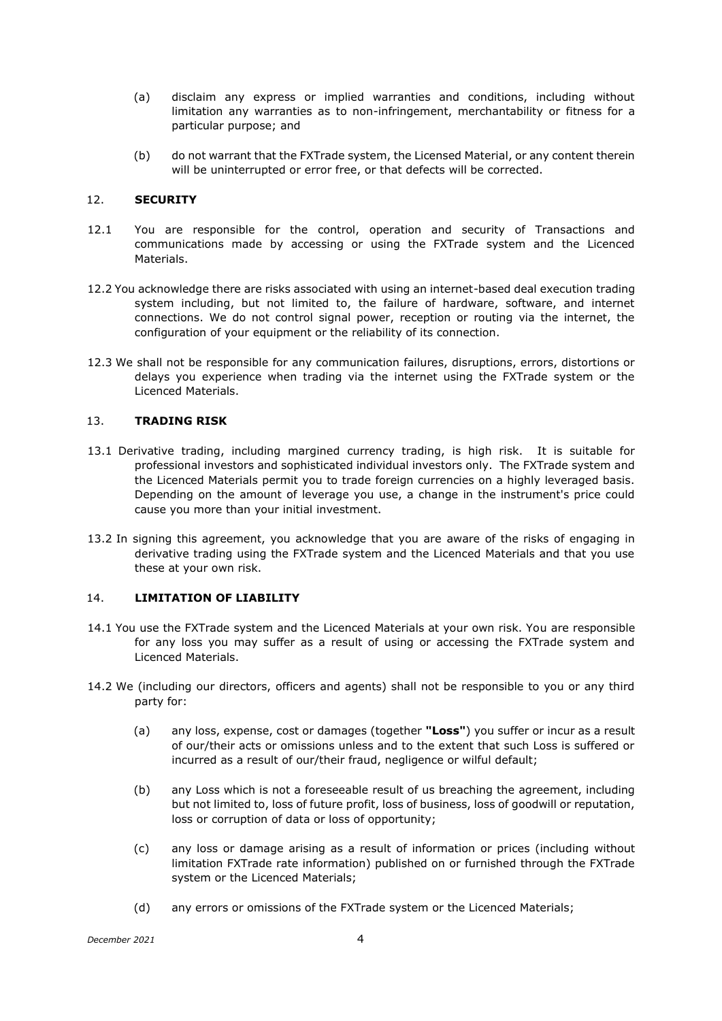- (a) disclaim any express or implied warranties and conditions, including without limitation any warranties as to non-infringement, merchantability or fitness for a particular purpose; and
- (b) do not warrant that the FXTrade system, the Licensed Material, or any content therein will be uninterrupted or error free, or that defects will be corrected.

## 12. **SECURITY**

- 12.1 You are responsible for the control, operation and security of Transactions and communications made by accessing or using the FXTrade system and the Licenced Materials.
- 12.2 You acknowledge there are risks associated with using an internet-based deal execution trading system including, but not limited to, the failure of hardware, software, and internet connections. We do not control signal power, reception or routing via the internet, the configuration of your equipment or the reliability of its connection.
- 12.3 We shall not be responsible for any communication failures, disruptions, errors, distortions or delays you experience when trading via the internet using the FXTrade system or the Licenced Materials.

## 13. **TRADING RISK**

- 13.1 Derivative trading, including margined currency trading, is high risk. It is suitable for professional investors and sophisticated individual investors only. The FXTrade system and the Licenced Materials permit you to trade foreign currencies on a highly leveraged basis. Depending on the amount of leverage you use, a change in the instrument's price could cause you more than your initial investment.
- 13.2 In signing this agreement, you acknowledge that you are aware of the risks of engaging in derivative trading using the FXTrade system and the Licenced Materials and that you use these at your own risk.

## 14. **LIMITATION OF LIABILITY**

- 14.1 You use the FXTrade system and the Licenced Materials at your own risk. You are responsible for any loss you may suffer as a result of using or accessing the FXTrade system and Licenced Materials.
- 14.2 We (including our directors, officers and agents) shall not be responsible to you or any third party for:
	- (a) any loss, expense, cost or damages (together **"Loss"**) you suffer or incur as a result of our/their acts or omissions unless and to the extent that such Loss is suffered or incurred as a result of our/their fraud, negligence or wilful default;
	- (b) any Loss which is not a foreseeable result of us breaching the agreement, including but not limited to, loss of future profit, loss of business, loss of goodwill or reputation, loss or corruption of data or loss of opportunity;
	- (c) any loss or damage arising as a result of information or prices (including without limitation FXTrade rate information) published on or furnished through the FXTrade system or the Licenced Materials;
	- (d) any errors or omissions of the FXTrade system or the Licenced Materials;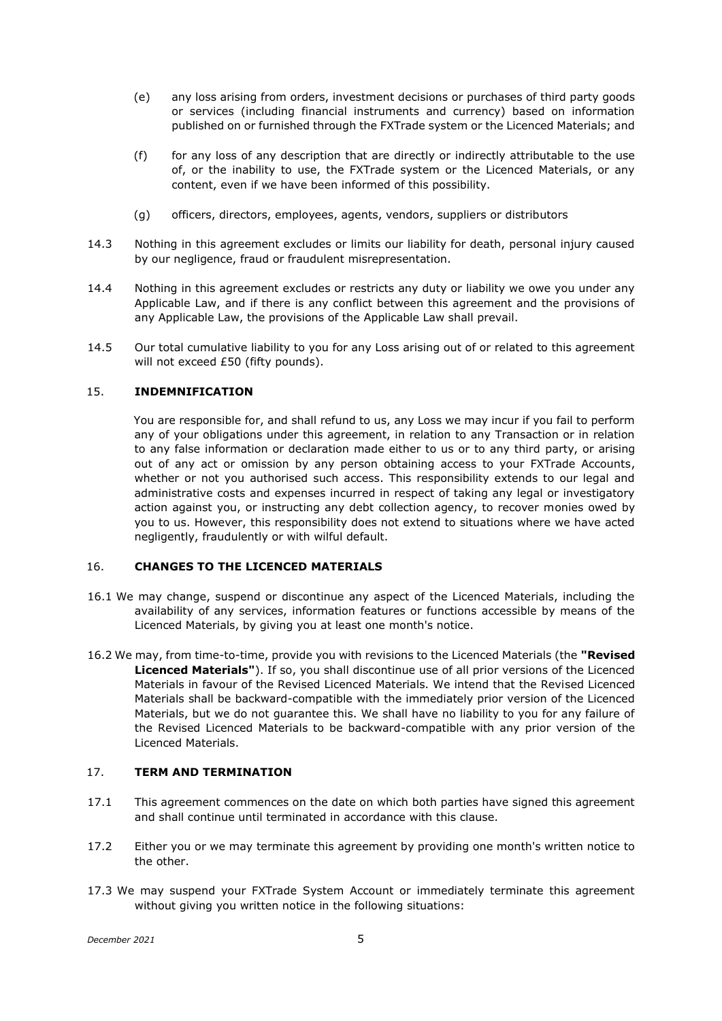- (e) any loss arising from orders, investment decisions or purchases of third party goods or services (including financial instruments and currency) based on information published on or furnished through the FXTrade system or the Licenced Materials; and
- (f) for any loss of any description that are directly or indirectly attributable to the use of, or the inability to use, the FXTrade system or the Licenced Materials, or any content, even if we have been informed of this possibility.
- (g) officers, directors, employees, agents, vendors, suppliers or distributors
- 14.3 Nothing in this agreement excludes or limits our liability for death, personal injury caused by our negligence, fraud or fraudulent misrepresentation.
- 14.4 Nothing in this agreement excludes or restricts any duty or liability we owe you under any Applicable Law, and if there is any conflict between this agreement and the provisions of any Applicable Law, the provisions of the Applicable Law shall prevail.
- 14.5 Our total cumulative liability to you for any Loss arising out of or related to this agreement will not exceed £50 (fifty pounds).

## 15. **INDEMNIFICATION**

You are responsible for, and shall refund to us, any Loss we may incur if you fail to perform any of your obligations under this agreement, in relation to any Transaction or in relation to any false information or declaration made either to us or to any third party, or arising out of any act or omission by any person obtaining access to your FXTrade Accounts, whether or not you authorised such access. This responsibility extends to our legal and administrative costs and expenses incurred in respect of taking any legal or investigatory action against you, or instructing any debt collection agency, to recover monies owed by you to us. However, this responsibility does not extend to situations where we have acted negligently, fraudulently or with wilful default.

## 16. **CHANGES TO THE LICENCED MATERIALS**

- 16.1 We may change, suspend or discontinue any aspect of the Licenced Materials, including the availability of any services, information features or functions accessible by means of the Licenced Materials, by giving you at least one month's notice.
- 16.2 We may, from time-to-time, provide you with revisions to the Licenced Materials (the **"Revised Licenced Materials"**). If so, you shall discontinue use of all prior versions of the Licenced Materials in favour of the Revised Licenced Materials. We intend that the Revised Licenced Materials shall be backward-compatible with the immediately prior version of the Licenced Materials, but we do not guarantee this. We shall have no liability to you for any failure of the Revised Licenced Materials to be backward-compatible with any prior version of the Licenced Materials.

#### 17. **TERM AND TERMINATION**

- 17.1 This agreement commences on the date on which both parties have signed this agreement and shall continue until terminated in accordance with this clause.
- 17.2 Either you or we may terminate this agreement by providing one month's written notice to the other.
- 17.3 We may suspend your FXTrade System Account or immediately terminate this agreement without giving you written notice in the following situations: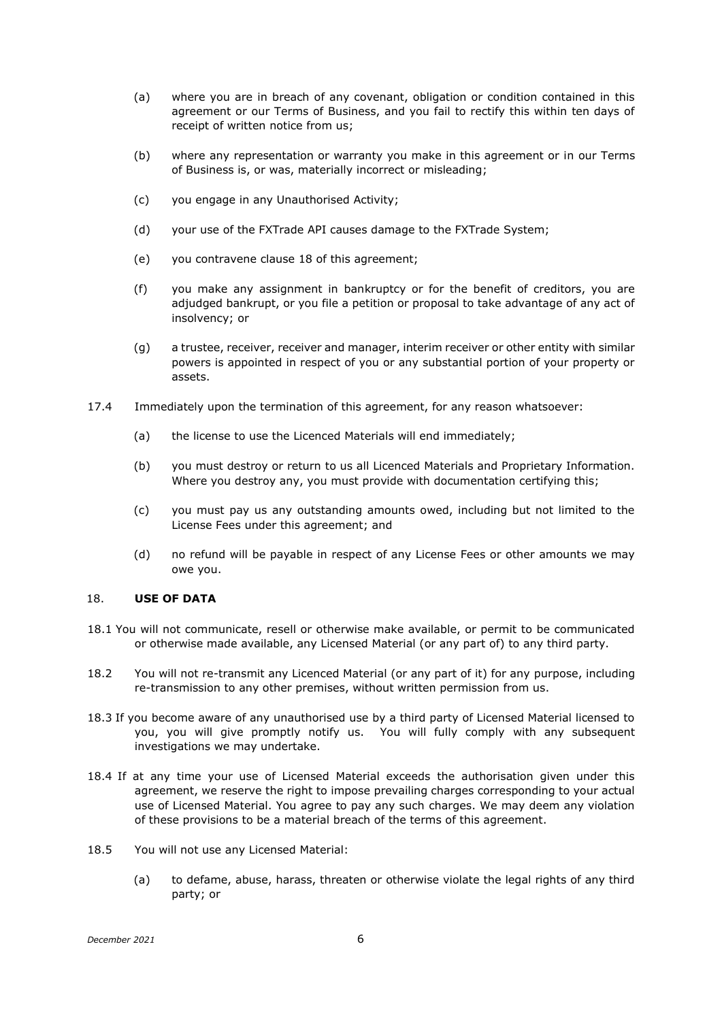- (a) where you are in breach of any covenant, obligation or condition contained in this agreement or our Terms of Business, and you fail to rectify this within ten days of receipt of written notice from us;
- (b) where any representation or warranty you make in this agreement or in our Terms of Business is, or was, materially incorrect or misleading;
- (c) you engage in any Unauthorised Activity;
- (d) your use of the FXTrade API causes damage to the FXTrade System;
- (e) you contravene clause 18 of this agreement;
- (f) you make any assignment in bankruptcy or for the benefit of creditors, you are adjudged bankrupt, or you file a petition or proposal to take advantage of any act of insolvency; or
- (g) a trustee, receiver, receiver and manager, interim receiver or other entity with similar powers is appointed in respect of you or any substantial portion of your property or assets.
- 17.4 Immediately upon the termination of this agreement, for any reason whatsoever:
	- (a) the license to use the Licenced Materials will end immediately;
	- (b) you must destroy or return to us all Licenced Materials and Proprietary Information. Where you destroy any, you must provide with documentation certifying this;
	- (c) you must pay us any outstanding amounts owed, including but not limited to the License Fees under this agreement; and
	- (d) no refund will be payable in respect of any License Fees or other amounts we may owe you.

## 18. **USE OF DATA**

- 18.1 You will not communicate, resell or otherwise make available, or permit to be communicated or otherwise made available, any Licensed Material (or any part of) to any third party.
- 18.2 You will not re-transmit any Licenced Material (or any part of it) for any purpose, including re-transmission to any other premises, without written permission from us.
- 18.3 If you become aware of any unauthorised use by a third party of Licensed Material licensed to you, you will give promptly notify us. You will fully comply with any subsequent investigations we may undertake.
- 18.4 If at any time your use of Licensed Material exceeds the authorisation given under this agreement, we reserve the right to impose prevailing charges corresponding to your actual use of Licensed Material. You agree to pay any such charges. We may deem any violation of these provisions to be a material breach of the terms of this agreement.
- 18.5 You will not use any Licensed Material:
	- (a) to defame, abuse, harass, threaten or otherwise violate the legal rights of any third party; or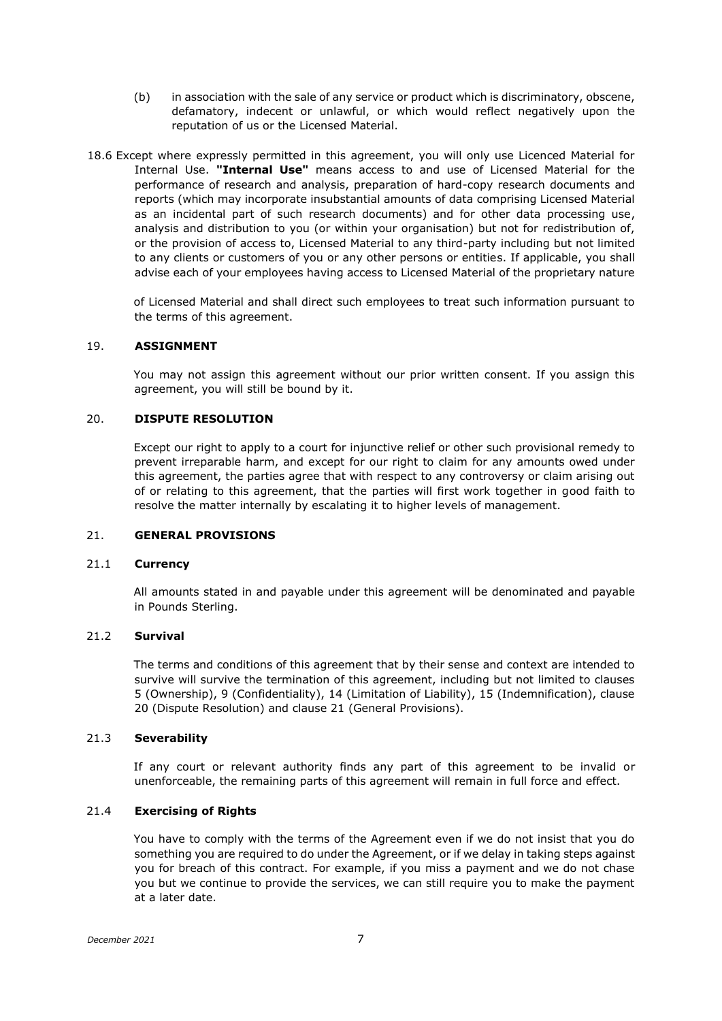- (b) in association with the sale of any service or product which is discriminatory, obscene, defamatory, indecent or unlawful, or which would reflect negatively upon the reputation of us or the Licensed Material.
- 18.6 Except where expressly permitted in this agreement, you will only use Licenced Material for Internal Use. **"Internal Use"** means access to and use of Licensed Material for the performance of research and analysis, preparation of hard-copy research documents and reports (which may incorporate insubstantial amounts of data comprising Licensed Material as an incidental part of such research documents) and for other data processing use, analysis and distribution to you (or within your organisation) but not for redistribution of, or the provision of access to, Licensed Material to any third-party including but not limited to any clients or customers of you or any other persons or entities. If applicable, you shall advise each of your employees having access to Licensed Material of the proprietary nature

of Licensed Material and shall direct such employees to treat such information pursuant to the terms of this agreement.

## 19. **ASSIGNMENT**

You may not assign this agreement without our prior written consent. If you assign this agreement, you will still be bound by it.

## 20. **DISPUTE RESOLUTION**

Except our right to apply to a court for injunctive relief or other such provisional remedy to prevent irreparable harm, and except for our right to claim for any amounts owed under this agreement, the parties agree that with respect to any controversy or claim arising out of or relating to this agreement, that the parties will first work together in good faith to resolve the matter internally by escalating it to higher levels of management.

### 21. **GENERAL PROVISIONS**

#### 21.1 **Currency**

All amounts stated in and payable under this agreement will be denominated and payable in Pounds Sterling.

## 21.2 **Survival**

The terms and conditions of this agreement that by their sense and context are intended to survive will survive the termination of this agreement, including but not limited to clauses 5 (Ownership), 9 (Confidentiality), 14 (Limitation of Liability), 15 (Indemnification), clause 20 (Dispute Resolution) and clause 21 (General Provisions).

#### 21.3 **Severability**

If any court or relevant authority finds any part of this agreement to be invalid or unenforceable, the remaining parts of this agreement will remain in full force and effect.

## 21.4 **Exercising of Rights**

You have to comply with the terms of the Agreement even if we do not insist that you do something you are required to do under the Agreement, or if we delay in taking steps against you for breach of this contract. For example, if you miss a payment and we do not chase you but we continue to provide the services, we can still require you to make the payment at a later date.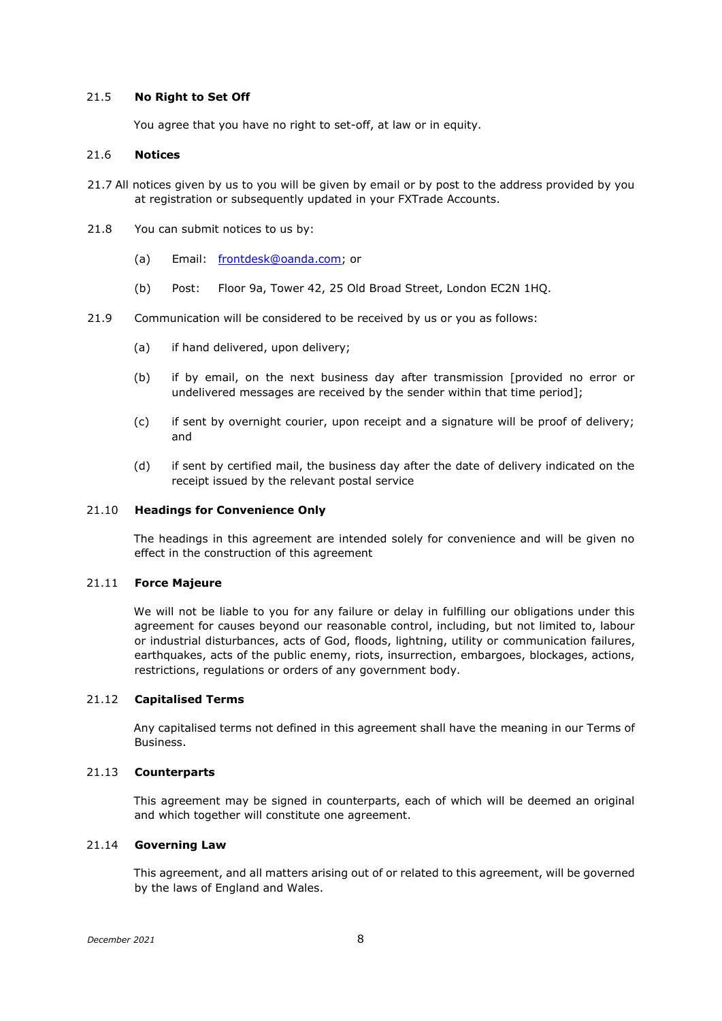### 21.5 **No Right to Set Off**

You agree that you have no right to set-off, at law or in equity.

## 21.6 **Notices**

- 21.7 All notices given by us to you will be given by email or by post to the address provided by you at registration or subsequently updated in your FXTrade Accounts.
- 21.8 You can submit notices to us by:
	- (a) Email: frontdesk@oanda.com; or
	- (b) Post: Floor 9a, Tower 42, 25 Old Broad Street, London EC2N 1HQ.
- 21.9 Communication will be considered to be received by us or you as follows:
	- (a) if hand delivered, upon delivery;
	- (b) if by email, on the next business day after transmission [provided no error or undelivered messages are received by the sender within that time period];
	- (c) if sent by overnight courier, upon receipt and a signature will be proof of delivery; and
	- (d) if sent by certified mail, the business day after the date of delivery indicated on the receipt issued by the relevant postal service

#### 21.10 **Headings for Convenience Only**

The headings in this agreement are intended solely for convenience and will be given no effect in the construction of this agreement

## 21.11 **Force Majeure**

We will not be liable to you for any failure or delay in fulfilling our obligations under this agreement for causes beyond our reasonable control, including, but not limited to, labour or industrial disturbances, acts of God, floods, lightning, utility or communication failures, earthquakes, acts of the public enemy, riots, insurrection, embargoes, blockages, actions, restrictions, regulations or orders of any government body.

#### 21.12 **Capitalised Terms**

Any capitalised terms not defined in this agreement shall have the meaning in our Terms of Business.

#### 21.13 **Counterparts**

This agreement may be signed in counterparts, each of which will be deemed an original and which together will constitute one agreement.

## 21.14 **Governing Law**

This agreement, and all matters arising out of or related to this agreement, will be governed by the laws of England and Wales.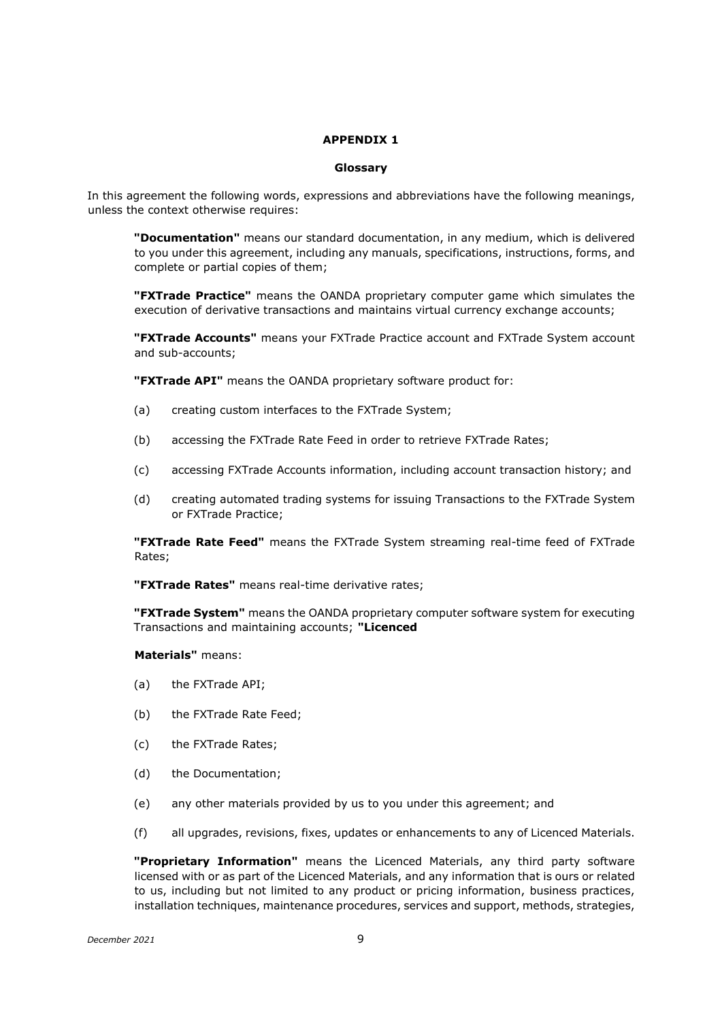## **APPENDIX 1**

#### **Glossary**

In this agreement the following words, expressions and abbreviations have the following meanings, unless the context otherwise requires:

**"Documentation"** means our standard documentation, in any medium, which is delivered to you under this agreement, including any manuals, specifications, instructions, forms, and complete or partial copies of them;

**"FXTrade Practice"** means the OANDA proprietary computer game which simulates the execution of derivative transactions and maintains virtual currency exchange accounts;

**"FXTrade Accounts"** means your FXTrade Practice account and FXTrade System account and sub-accounts;

**"FXTrade API"** means the OANDA proprietary software product for:

- (a) creating custom interfaces to the FXTrade System;
- (b) accessing the FXTrade Rate Feed in order to retrieve FXTrade Rates;
- (c) accessing FXTrade Accounts information, including account transaction history; and
- (d) creating automated trading systems for issuing Transactions to the FXTrade System or FXTrade Practice;

**"FXTrade Rate Feed"** means the FXTrade System streaming real-time feed of FXTrade Rates;

**"FXTrade Rates"** means real-time derivative rates;

**"FXTrade System"** means the OANDA proprietary computer software system for executing Transactions and maintaining accounts; **"Licenced** 

**Materials"** means:

- (a) the FXTrade API;
- (b) the FXTrade Rate Feed;
- (c) the FXTrade Rates;
- (d) the Documentation;
- (e) any other materials provided by us to you under this agreement; and
- (f) all upgrades, revisions, fixes, updates or enhancements to any of Licenced Materials.

**"Proprietary Information"** means the Licenced Materials, any third party software licensed with or as part of the Licenced Materials, and any information that is ours or related to us, including but not limited to any product or pricing information, business practices, installation techniques, maintenance procedures, services and support, methods, strategies,